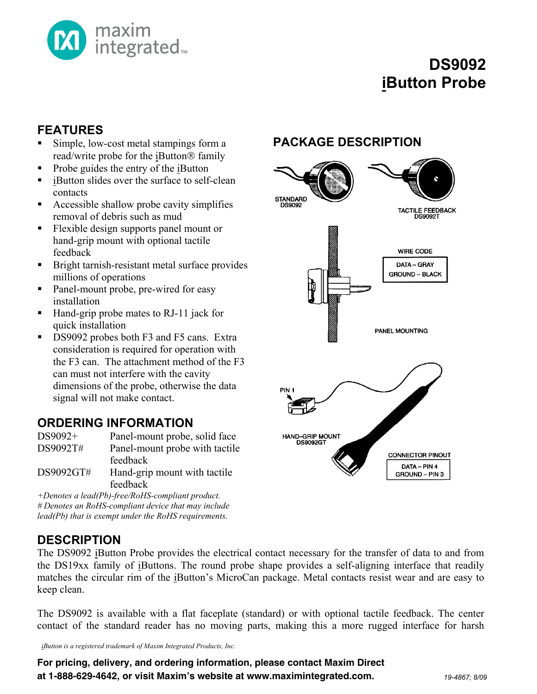

# **DS9092 iButton Probe**

#### **FEATURES**

- Simple, low-cost metal stampings form a read/write probe for the iButton<sup>®</sup> family
- Probe guides the entry of the iButton
- iButton slides over the surface to self-clean contacts
- Accessible shallow probe cavity simplifies removal of debris such as mud
- Flexible design supports panel mount or hand-grip mount with optional tactile feedback
- **Bright tarnish-resistant metal surface provides** millions of operations
- Panel-mount probe, pre-wired for easy installation
- Hand-grip probe mates to RJ-11 jack for quick installation
- DS9092 probes both F3 and F5 cans. Extra consideration is required for operation with the F3 can. The attachment method of the F3 can must not interfere with the cavity dimensions of the probe, otherwise the data signal will not make contact.

## **ORDERING INFORMATION**

| $DS9092+$ | Panel-mount probe, solid face  |
|-----------|--------------------------------|
| DS9092T#  | Panel-mount probe with tactile |
|           | feedback                       |
| DS9092GT# | Hand-grip mount with tactile   |
|           | feedback                       |

*+Denotes a lead(Pb)-free/RoHS-compliant product. # Denotes an RoHS-compliant device that may include lead(Pb) that is exempt under the RoHS requirements.* 

#### **DESCRIPTION**

The DS9092 iButton Probe provides the electrical contact necessary for the transfer of data to and from the DS19xx family of iButtons. The round probe shape provides a self-aligning interface that readily matches the circular rim of the iButton's MicroCan package. Metal contacts resist wear and are easy to keep clean.

The DS9092 is available with a flat faceplate (standard) or with optional tactile feedback. The center LESP IS AVALUATE TO A TRANSFERING (SULTRALLY) OF WILL SPRODUCT ALONED TO CONSULTATIVE CONTROLLED CONTROLLED TO A CONTROLLED CONTROLLED TO A CONTROLLED CONTROLLED CONTROLLED CONTROLLED CONTROLLED CONTROLLED CONTROLLED CONTR

*iButton is a registered trademark of Maxim Integrated Products, Inc.* 

For pricing, delivery, and ordering information, please contact Maxim Direct at 1-888-629-4642, or visit Maxim's website at www.maximintegrated.com.

#### **PACKAGE DESCRIPTION**

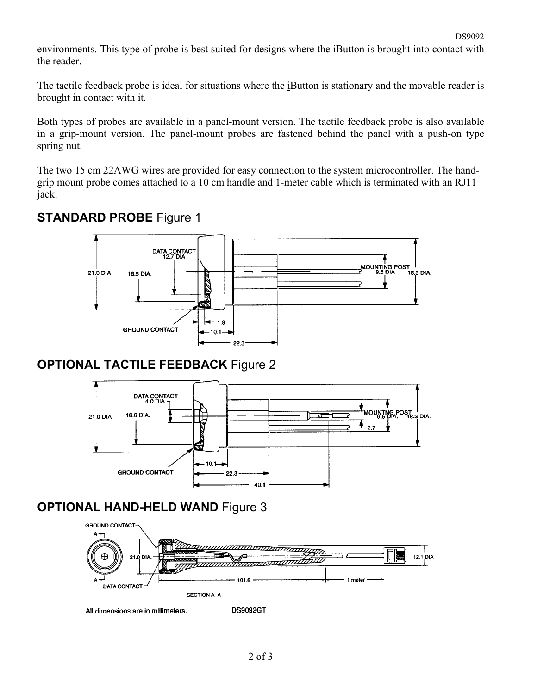environments. This type of probe is best suited for designs where the iButton is brought into contact with the reader.

The tactile feedback probe is ideal for situations where the iButton is stationary and the movable reader is brought in contact with it.

Both types of probes are available in a panel-mount version. The tactile feedback probe is also available in a grip-mount version. The panel-mount probes are fastened behind the panel with a push-on type spring nut.

The two 15 cm 22AWG wires are provided for easy connection to the system microcontroller. The handgrip mount probe comes attached to a 10 cm handle and 1-meter cable which is terminated with an RJ11 jack.

#### **STANDARD PROBE** Figure 1



### **OPTIONAL TACTILE FEEDBACK** Figure 2



### **OPTIONAL HAND-HELD WAND** Figure 3



```
DS9092GT
All dimensions are in millimeters.
```